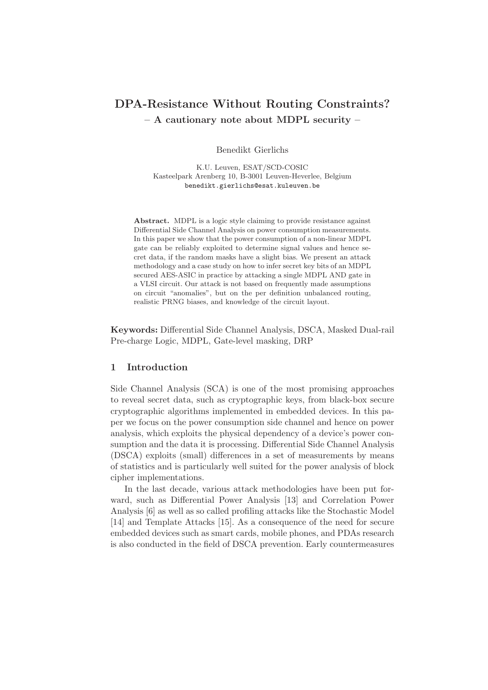# DPA-Resistance Without Routing Constraints? – A cautionary note about MDPL security –

Benedikt Gierlichs

K.U. Leuven, ESAT/SCD-COSIC Kasteelpark Arenberg 10, B-3001 Leuven-Heverlee, Belgium benedikt.gierlichs@esat.kuleuven.be

Abstract. MDPL is a logic style claiming to provide resistance against Differential Side Channel Analysis on power consumption measurements. In this paper we show that the power consumption of a non-linear MDPL gate can be reliably exploited to determine signal values and hence secret data, if the random masks have a slight bias. We present an attack methodology and a case study on how to infer secret key bits of an MDPL secured AES-ASIC in practice by attacking a single MDPL AND gate in a VLSI circuit. Our attack is not based on frequently made assumptions on circuit "anomalies", but on the per definition unbalanced routing, realistic PRNG biases, and knowledge of the circuit layout.

Keywords: Differential Side Channel Analysis, DSCA, Masked Dual-rail Pre-charge Logic, MDPL, Gate-level masking, DRP

## 1 Introduction

Side Channel Analysis (SCA) is one of the most promising approaches to reveal secret data, such as cryptographic keys, from black-box secure cryptographic algorithms implemented in embedded devices. In this paper we focus on the power consumption side channel and hence on power analysis, which exploits the physical dependency of a device's power consumption and the data it is processing. Differential Side Channel Analysis (DSCA) exploits (small) differences in a set of measurements by means of statistics and is particularly well suited for the power analysis of block cipher implementations.

In the last decade, various attack methodologies have been put forward, such as Differential Power Analysis [13] and Correlation Power Analysis [6] as well as so called profiling attacks like the Stochastic Model [14] and Template Attacks [15]. As a consequence of the need for secure embedded devices such as smart cards, mobile phones, and PDAs research is also conducted in the field of DSCA prevention. Early countermeasures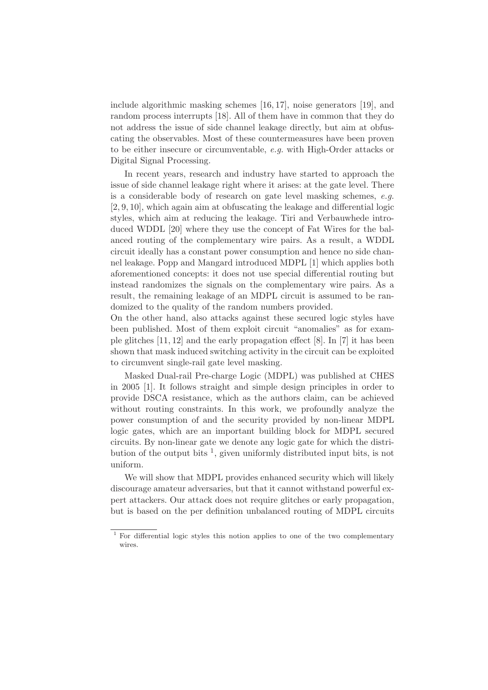include algorithmic masking schemes [16, 17], noise generators [19], and random process interrupts [18]. All of them have in common that they do not address the issue of side channel leakage directly, but aim at obfuscating the observables. Most of these countermeasures have been proven to be either insecure or circumventable, e.g. with High-Order attacks or Digital Signal Processing.

In recent years, research and industry have started to approach the issue of side channel leakage right where it arises: at the gate level. There is a considerable body of research on gate level masking schemes, e.g. [2, 9, 10], which again aim at obfuscating the leakage and differential logic styles, which aim at reducing the leakage. Tiri and Verbauwhede introduced WDDL [20] where they use the concept of Fat Wires for the balanced routing of the complementary wire pairs. As a result, a WDDL circuit ideally has a constant power consumption and hence no side channel leakage. Popp and Mangard introduced MDPL [1] which applies both aforementioned concepts: it does not use special differential routing but instead randomizes the signals on the complementary wire pairs. As a result, the remaining leakage of an MDPL circuit is assumed to be randomized to the quality of the random numbers provided.

On the other hand, also attacks against these secured logic styles have been published. Most of them exploit circuit "anomalies" as for example glitches [11, 12] and the early propagation effect [8]. In [7] it has been shown that mask induced switching activity in the circuit can be exploited to circumvent single-rail gate level masking.

Masked Dual-rail Pre-charge Logic (MDPL) was published at CHES in 2005 [1]. It follows straight and simple design principles in order to provide DSCA resistance, which as the authors claim, can be achieved without routing constraints. In this work, we profoundly analyze the power consumption of and the security provided by non-linear MDPL logic gates, which are an important building block for MDPL secured circuits. By non-linear gate we denote any logic gate for which the distribution of the output bits  $<sup>1</sup>$ , given uniformly distributed input bits, is not</sup> uniform.

We will show that MDPL provides enhanced security which will likely discourage amateur adversaries, but that it cannot withstand powerful expert attackers. Our attack does not require glitches or early propagation, but is based on the per definition unbalanced routing of MDPL circuits

 $1$  For differential logic styles this notion applies to one of the two complementary wires.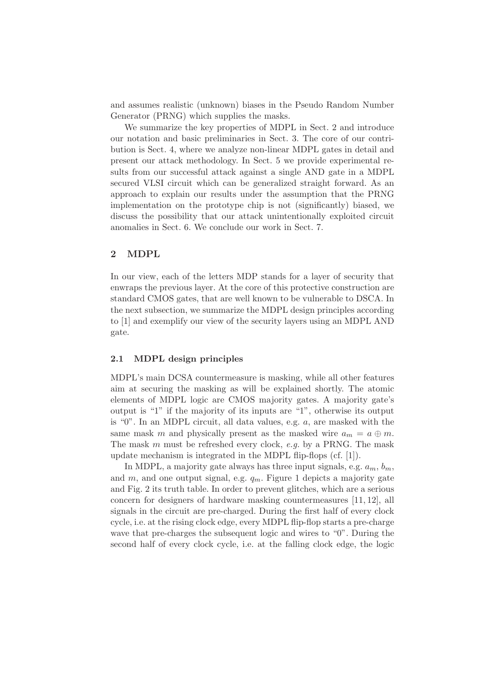and assumes realistic (unknown) biases in the Pseudo Random Number Generator (PRNG) which supplies the masks.

We summarize the key properties of MDPL in Sect. 2 and introduce our notation and basic preliminaries in Sect. 3. The core of our contribution is Sect. 4, where we analyze non-linear MDPL gates in detail and present our attack methodology. In Sect. 5 we provide experimental results from our successful attack against a single AND gate in a MDPL secured VLSI circuit which can be generalized straight forward. As an approach to explain our results under the assumption that the PRNG implementation on the prototype chip is not (significantly) biased, we discuss the possibility that our attack unintentionally exploited circuit anomalies in Sect. 6. We conclude our work in Sect. 7.

#### 2 MDPL

In our view, each of the letters MDP stands for a layer of security that enwraps the previous layer. At the core of this protective construction are standard CMOS gates, that are well known to be vulnerable to DSCA. In the next subsection, we summarize the MDPL design principles according to [1] and exemplify our view of the security layers using an MDPL AND gate.

#### 2.1 MDPL design principles

MDPL's main DCSA countermeasure is masking, while all other features aim at securing the masking as will be explained shortly. The atomic elements of MDPL logic are CMOS majority gates. A majority gate's output is "1" if the majority of its inputs are "1", otherwise its output is " $0$ ". In an MDPL circuit, all data values, e.g.  $a$ , are masked with the same mask m and physically present as the masked wire  $a_m = a \oplus m$ . The mask  $m$  must be refreshed every clock,  $e.g.$  by a PRNG. The mask update mechanism is integrated in the MDPL flip-flops (cf. [1]).

In MDPL, a majority gate always has three input signals, e.g.  $a_m$ ,  $b_m$ , and  $m$ , and one output signal, e.g.  $q_m$ . Figure 1 depicts a majority gate and Fig. 2 its truth table. In order to prevent glitches, which are a serious concern for designers of hardware masking countermeasures [11, 12], all signals in the circuit are pre-charged. During the first half of every clock cycle, i.e. at the rising clock edge, every MDPL flip-flop starts a pre-charge wave that pre-charges the subsequent logic and wires to "0". During the second half of every clock cycle, i.e. at the falling clock edge, the logic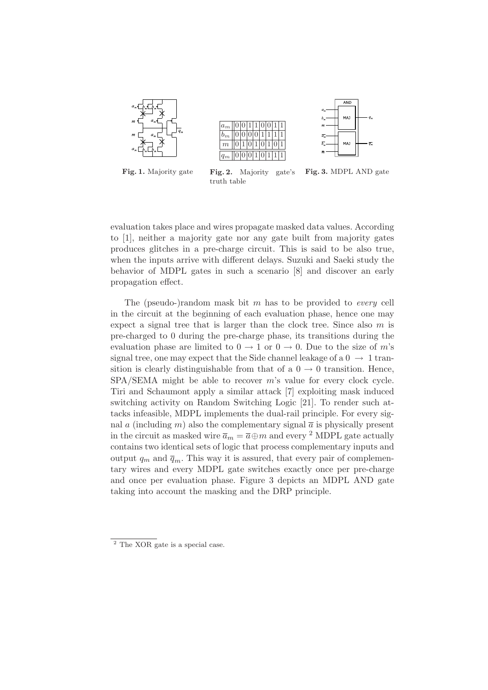

Fig. 1. Majority gate

Fig. 2. Majority gate's truth table

Fig. 3. MDPL AND gate

evaluation takes place and wires propagate masked data values. According to [1], neither a majority gate nor any gate built from majority gates produces glitches in a pre-charge circuit. This is said to be also true, when the inputs arrive with different delays. Suzuki and Saeki study the behavior of MDPL gates in such a scenario [8] and discover an early propagation effect.

The (pseudo-)random mask bit m has to be provided to *every* cell in the circuit at the beginning of each evaluation phase, hence one may expect a signal tree that is larger than the clock tree. Since also  $m$  is pre-charged to 0 during the pre-charge phase, its transitions during the evaluation phase are limited to  $0 \to 1$  or  $0 \to 0$ . Due to the size of m's signal tree, one may expect that the Side channel leakage of a  $0 \rightarrow 1$  transition is clearly distinguishable from that of a  $0 \rightarrow 0$  transition. Hence,  $SPA/SEMA$  might be able to recover m's value for every clock cycle. Tiri and Schaumont apply a similar attack [7] exploiting mask induced switching activity on Random Switching Logic [21]. To render such attacks infeasible, MDPL implements the dual-rail principle. For every signal a (including m) also the complementary signal  $\bar{a}$  is physically present in the circuit as masked wire  $\bar{a}_m = \bar{a} \oplus m$  and every <sup>2</sup> MDPL gate actually contains two identical sets of logic that process complementary inputs and output  $q_m$  and  $\overline{q}_m$ . This way it is assured, that every pair of complementary wires and every MDPL gate switches exactly once per pre-charge and once per evaluation phase. Figure 3 depicts an MDPL AND gate taking into account the masking and the DRP principle.

<sup>2</sup> The XOR gate is a special case.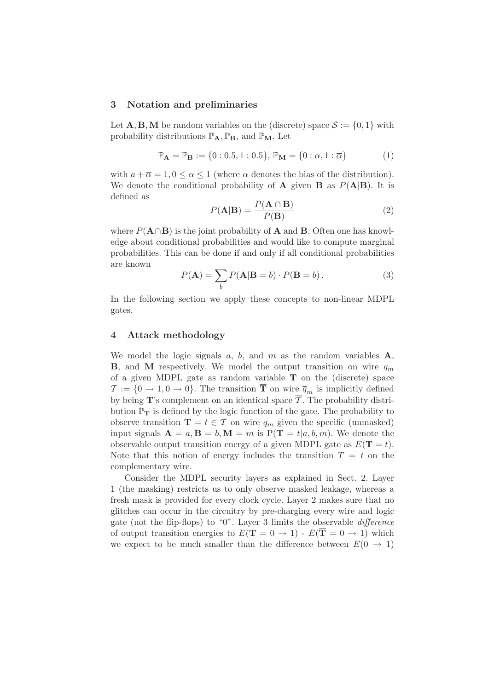#### 3 Notation and preliminaries

Let **A**, **B**, **M** be random variables on the (discrete) space  $S := \{0, 1\}$  with probability distributions  $\mathbb{P}_{A}$ ,  $\mathbb{P}_{B}$ , and  $\mathbb{P}_{M}$ . Let

$$
\mathbb{P}_{\mathbf{A}} = \mathbb{P}_{\mathbf{B}} := \{0: 0.5, 1: 0.5\}, \mathbb{P}_{\mathbf{M}} = \{0: \alpha, 1: \overline{\alpha}\}\tag{1}
$$

with  $a + \overline{\alpha} = 1, 0 \le \alpha \le 1$  (where  $\alpha$  denotes the bias of the distribution). We denote the conditional probability of **A** given **B** as  $P(A|B)$ . It is defined as

$$
P(\mathbf{A}|\mathbf{B}) = \frac{P(\mathbf{A} \cap \mathbf{B})}{P(\mathbf{B})}
$$
 (2)

where  $P(A \cap B)$  is the joint probability of **A** and **B**. Often one has knowledge about conditional probabilities and would like to compute marginal probabilities. This can be done if and only if all conditional probabilities are known

$$
P(\mathbf{A}) = \sum_{b} P(\mathbf{A}|\mathbf{B} = b) \cdot P(\mathbf{B} = b).
$$
 (3)

In the following section we apply these concepts to non-linear MDPL gates.

#### 4 Attack methodology

We model the logic signals a, b, and m as the random variables  $\mathbf{A}$ , **B**, and M respectively. We model the output transition on wire  $q_m$ of a given MDPL gate as random variable T on the (discrete) space  $\mathcal{T} := \{0 \to 1, 0 \to 0\}.$  The transition  $\overline{T}$  on wire  $\overline{q}_m$  is implicitly defined by being T's complement on an identical space  $\overline{\mathcal{T}}$ . The probability distribution  $\mathbb{P}_{\mathbf{T}}$  is defined by the logic function of the gate. The probability to observe transition  $\mathbf{T} = t \in \mathcal{T}$  on wire  $q_m$  given the specific (unmasked) input signals  $\mathbf{A} = a$ ,  $\mathbf{B} = b$ ,  $\mathbf{M} = m$  is  $P(\mathbf{T} = t | a, b, m)$ . We denote the observable output transition energy of a given MDPL gate as  $E(T = t)$ . Note that this notion of energy includes the transition  $\overline{T} = \overline{t}$  on the complementary wire.

Consider the MDPL security layers as explained in Sect. 2. Layer 1 (the masking) restricts us to only observe masked leakage, whereas a fresh mask is provided for every clock cycle. Layer 2 makes sure that no glitches can occur in the circuitry by pre-charging every wire and logic gate (not the flip-flops) to "0". Layer 3 limits the observable difference of output transition energies to  $E(\mathbf{T} = 0 \rightarrow 1)$  -  $E(\overline{\mathbf{T}} = 0 \rightarrow 1)$  which we expect to be much smaller than the difference between  $E(0 \rightarrow 1)$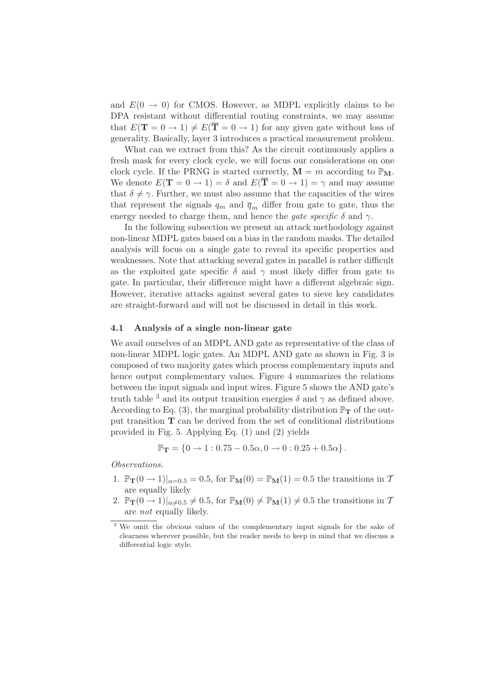and  $E(0 \rightarrow 0)$  for CMOS. However, as MDPL explicitly claims to be DPA resistant without differential routing constraints, we may assume that  $E(\mathbf{T} = 0 \rightarrow 1) \neq E(\overline{\mathbf{T}} = 0 \rightarrow 1)$  for any given gate without loss of generality. Basically, layer 3 introduces a practical measurement problem.

What can we extract from this? As the circuit continuously applies a fresh mask for every clock cycle, we will focus our considerations on one clock cycle. If the PRNG is started correctly,  $\mathbf{M} = m$  according to  $\mathbb{P}_{\mathbf{M}}$ . We denote  $E(\mathbf{T} = 0 \to 1) = \delta$  and  $E(\overline{\mathbf{T}} = 0 \to 1) = \gamma$  and may assume that  $\delta \neq \gamma$ . Further, we must also assume that the capacities of the wires that represent the signals  $q_m$  and  $\overline{q}_m$  differ from gate to gate, thus the energy needed to charge them, and hence the *gate specific*  $\delta$  and  $\gamma$ .

In the following subsection we present an attack methodology against non-linear MDPL gates based on a bias in the random masks. The detailed analysis will focus on a single gate to reveal its specific properties and weaknesses. Note that attacking several gates in parallel is rather difficult as the exploited gate specific  $\delta$  and  $\gamma$  most likely differ from gate to gate. In particular, their difference might have a different algebraic sign. However, iterative attacks against several gates to sieve key candidates are straight-forward and will not be discussed in detail in this work.

#### 4.1 Analysis of a single non-linear gate

We avail ourselves of an MDPL AND gate as representative of the class of non-linear MDPL logic gates. An MDPL AND gate as shown in Fig. 3 is composed of two majority gates which process complementary inputs and hence output complementary values. Figure 4 summarizes the relations between the input signals and input wires. Figure 5 shows the AND gate's truth table <sup>3</sup> and its output transition energies  $\delta$  and  $\gamma$  as defined above. According to Eq. (3), the marginal probability distribution  $\mathbb{P}_{\mathbf{T}}$  of the output transition T can be derived from the set of conditional distributions provided in Fig. 5. Applying Eq. (1) and (2) yields

$$
\mathbb{P}_{\mathbf{T}} = \{0 \to 1 : 0.75 - 0.5\alpha, 0 \to 0 : 0.25 + 0.5\alpha\}.
$$

Observations.

- 1.  $\mathbb{P}_{\mathbf{T}}(0 \to 1)|_{\alpha=0.5} = 0.5$ , for  $\mathbb{P}_{\mathbf{M}}(0) = \mathbb{P}_{\mathbf{M}}(1) = 0.5$  the transitions in T are equally likely
- 2.  $\mathbb{P}_{\mathbf{T}}(0 \to 1)|_{\alpha \neq 0.5} \neq 0.5$ , for  $\mathbb{P}_{\mathbf{M}}(0) \neq \mathbb{P}_{\mathbf{M}}(1) \neq 0.5$  the transitions in T are not equally likely.

<sup>3</sup> We omit the obvious values of the complementary input signals for the sake of clearness wherever possible, but the reader needs to keep in mind that we discuss a differential logic style.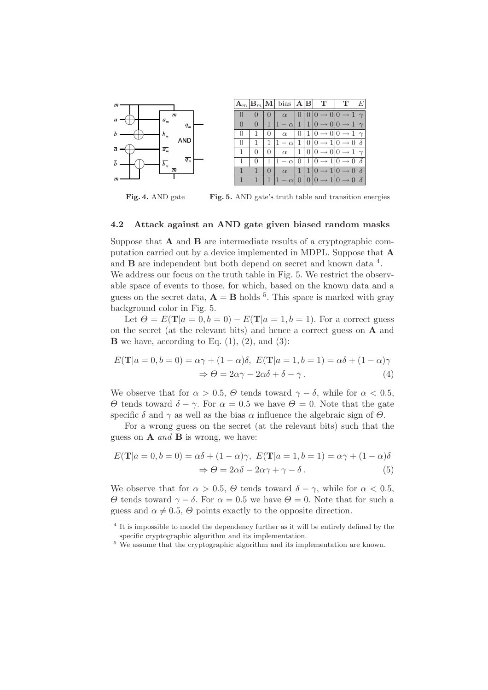

|   |          |                 |              |              |                    | $ \mathbf{A}_m  \mathbf{B}_m  \mathbf{M}$ bias $ \mathbf{A} \mathbf{B} $ $ \mathbf{T} $ $ \overline{\mathbf{T}} $ $ E $ |  |
|---|----------|-----------------|--------------|--------------|--------------------|-------------------------------------------------------------------------------------------------------------------------|--|
|   |          |                 |              |              |                    | $\alpha$   0   0   0 $\rightarrow$ 0   0 $\rightarrow$ 1   $\gamma$                                                     |  |
|   | $\Omega$ | $\mathbf{\Phi}$ |              |              |                    | $ 1-\alpha $ 1   1   0 $\rightarrow$ 0   0 $\rightarrow$ 1   $\gamma$                                                   |  |
| 0 |          | $\Omega$        |              |              |                    | $\alpha$   0   1   0 $\rightarrow$ 0   0 $\rightarrow$ 1   $\gamma$                                                     |  |
| 0 |          |                 |              |              |                    | $1 - \alpha$   1   0   0 $\rightarrow$ 1   0 $\rightarrow$ 0   $\delta$                                                 |  |
| 1 |          |                 | $\alpha$     |              |                    | $1   0   0 \rightarrow 0   0 \rightarrow 1   \gamma$                                                                    |  |
| 1 |          |                 | $1 - \alpha$ |              |                    | $0 \mid 1 \mid 0 \rightarrow 1 \mid 0 \rightarrow 0 \mid \delta$                                                        |  |
| 1 |          | $\Omega$        | $\alpha$     |              |                    | $1 \mid 1 \mid 0 \rightarrow 1 \mid 0 \rightarrow 0 \mid \delta$                                                        |  |
|   |          |                 | $1-\alpha$   | $0 0\rangle$ | $ 0 \rightarrow 1$ | $[0 \rightarrow 0]$ $\delta$                                                                                            |  |

Fig. 4. AND gate

Fig. 5. AND gate's truth table and transition energies

#### 4.2 Attack against an AND gate given biased random masks

Suppose that A and B are intermediate results of a cryptographic computation carried out by a device implemented in MDPL. Suppose that A and  $\bf{B}$  are independent but both depend on secret and known data  $^4$ . We address our focus on the truth table in Fig. 5. We restrict the observable space of events to those, for which, based on the known data and a guess on the secret data,  $\mathbf{A} = \mathbf{B}$  holds <sup>5</sup>. This space is marked with gray background color in Fig. 5.

Let  $\Theta = E(\mathbf{T}|a=0,b=0) - E(\mathbf{T}|a=1,b=1)$ . For a correct guess on the secret (at the relevant bits) and hence a correct guess on A and  $\bf{B}$  we have, according to Eq. (1), (2), and (3):

$$
E(\mathbf{T}|a=0, b=0) = \alpha \gamma + (1-\alpha)\delta, \ E(\mathbf{T}|a=1, b=1) = \alpha \delta + (1-\alpha)\gamma
$$
  
\n
$$
\Rightarrow \Theta = 2\alpha \gamma - 2\alpha \delta + \delta - \gamma.
$$
 (4)

We observe that for  $\alpha > 0.5$ ,  $\Theta$  tends toward  $\gamma - \delta$ , while for  $\alpha < 0.5$ ,  $Θ$  tends toward  $δ - γ$ . For  $α = 0.5$  we have  $Θ = 0$ . Note that the gate specific  $\delta$  and  $\gamma$  as well as the bias  $\alpha$  influence the algebraic sign of  $\Theta$ .

For a wrong guess on the secret (at the relevant bits) such that the guess on  $\bf{A}$  and  $\bf{B}$  is wrong, we have:

$$
E(\mathbf{T}|a=0,b=0) = \alpha\delta + (1-\alpha)\gamma, \ E(\mathbf{T}|a=1,b=1) = \alpha\gamma + (1-\alpha)\delta
$$
  
\n
$$
\Rightarrow \Theta = 2\alpha\delta - 2\alpha\gamma + \gamma - \delta.
$$
 (5)

We observe that for  $\alpha > 0.5$ ,  $\Theta$  tends toward  $\delta - \gamma$ , while for  $\alpha < 0.5$ ,  $Θ$  tends toward  $γ - δ$ . For  $α = 0.5$  we have  $Θ = 0$ . Note that for such a guess and  $\alpha \neq 0.5$ ,  $\Theta$  points exactly to the opposite direction.

<sup>&</sup>lt;sup>4</sup> It is impossible to model the dependency further as it will be entirely defined by the specific cryptographic algorithm and its implementation.

<sup>&</sup>lt;sup>5</sup> We assume that the cryptographic algorithm and its implementation are known.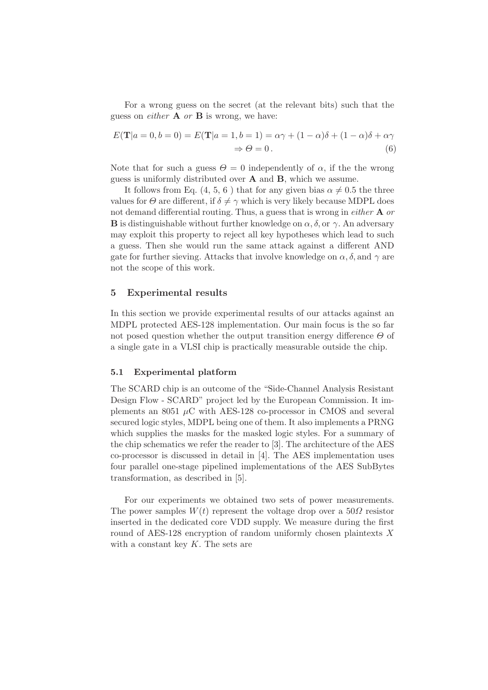For a wrong guess on the secret (at the relevant bits) such that the guess on *either*  $\bf{A}$  *or*  $\bf{B}$  is wrong, we have:

$$
E(\mathbf{T}|a=0,b=0) = E(\mathbf{T}|a=1,b=1) = \alpha \gamma + (1-\alpha)\delta + (1-\alpha)\delta + \alpha \gamma
$$
  
\n
$$
\Rightarrow \Theta = 0.
$$
 (6)

Note that for such a guess  $\Theta = 0$  independently of  $\alpha$ , if the the wrong guess is uniformly distributed over A and B, which we assume.

It follows from Eq. (4, 5, 6) that for any given bias  $\alpha \neq 0.5$  the three values for  $\Theta$  are different, if  $\delta \neq \gamma$  which is very likely because MDPL does not demand differential routing. Thus, a guess that is wrong in *either* **A** or **B** is distinguishable without further knowledge on  $\alpha$ ,  $\delta$ , or  $\gamma$ . An adversary may exploit this property to reject all key hypotheses which lead to such a guess. Then she would run the same attack against a different AND gate for further sieving. Attacks that involve knowledge on  $\alpha$ ,  $\delta$ , and  $\gamma$  are not the scope of this work.

## 5 Experimental results

In this section we provide experimental results of our attacks against an MDPL protected AES-128 implementation. Our main focus is the so far not posed question whether the output transition energy difference  $\Theta$  of a single gate in a VLSI chip is practically measurable outside the chip.

#### 5.1 Experimental platform

The SCARD chip is an outcome of the "Side-Channel Analysis Resistant Design Flow - SCARD" project led by the European Commission. It implements an 8051  $\mu$ C with AES-128 co-processor in CMOS and several secured logic styles, MDPL being one of them. It also implements a PRNG which supplies the masks for the masked logic styles. For a summary of the chip schematics we refer the reader to [3]. The architecture of the AES co-processor is discussed in detail in [4]. The AES implementation uses four parallel one-stage pipelined implementations of the AES SubBytes transformation, as described in [5].

For our experiments we obtained two sets of power measurements. The power samples  $W(t)$  represent the voltage drop over a 50 $\Omega$  resistor inserted in the dedicated core VDD supply. We measure during the first round of AES-128 encryption of random uniformly chosen plaintexts  $X$ with a constant key  $K$ . The sets are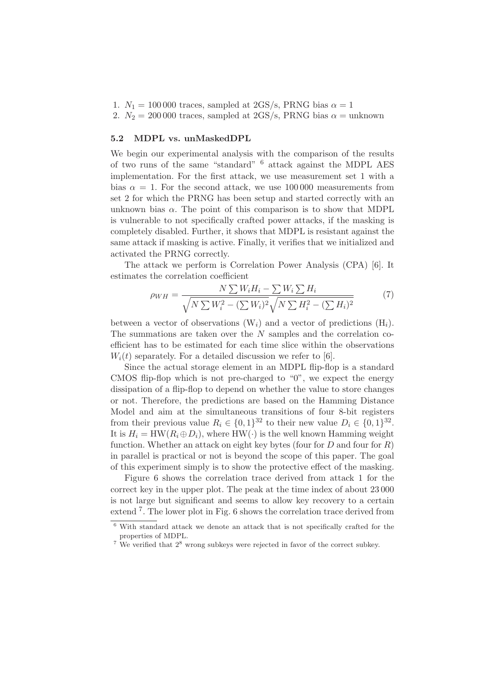- 1.  $N_1 = 100000$  traces, sampled at 2GS/s, PRNG bias  $\alpha = 1$
- 2.  $N_2 = 200000$  traces, sampled at 2GS/s, PRNG bias  $\alpha =$  unknown

## 5.2 MDPL vs. unMaskedDPL

We begin our experimental analysis with the comparison of the results of two runs of the same "standard" <sup>6</sup> attack against the MDPL AES implementation. For the first attack, we use measurement set 1 with a bias  $\alpha = 1$ . For the second attack, we use 100000 measurements from set 2 for which the PRNG has been setup and started correctly with an unknown bias  $\alpha$ . The point of this comparison is to show that MDPL is vulnerable to not specifically crafted power attacks, if the masking is completely disabled. Further, it shows that MDPL is resistant against the same attack if masking is active. Finally, it verifies that we initialized and activated the PRNG correctly.

The attack we perform is Correlation Power Analysis (CPA) [6]. It estimates the correlation coefficient

$$
\rho_{WH} = \frac{N \sum W_i H_i - \sum W_i \sum H_i}{\sqrt{N \sum W_i^2 - (\sum W_i)^2} \sqrt{N \sum H_i^2 - (\sum H_i)^2}}
$$
(7)

between a vector of observations  $(W_i)$  and a vector of predictions  $(H_i)$ . The summations are taken over the  $N$  samples and the correlation coefficient has to be estimated for each time slice within the observations  $W_i(t)$  separately. For a detailed discussion we refer to [6].

Since the actual storage element in an MDPL flip-flop is a standard CMOS flip-flop which is not pre-charged to "0", we expect the energy dissipation of a flip-flop to depend on whether the value to store changes or not. Therefore, the predictions are based on the Hamming Distance Model and aim at the simultaneous transitions of four 8-bit registers from their previous value  $R_i \in \{0,1\}^{32}$  to their new value  $D_i \in \{0,1\}^{32}$ . It is  $H_i = HW(R_i \oplus D_i)$ , where HW(·) is the well known Hamming weight function. Whether an attack on eight key bytes (four for  $D$  and four for  $R$ ) in parallel is practical or not is beyond the scope of this paper. The goal of this experiment simply is to show the protective effect of the masking.

Figure 6 shows the correlation trace derived from attack 1 for the correct key in the upper plot. The peak at the time index of about 23 000 is not large but significant and seems to allow key recovery to a certain extend<sup>7</sup>. The lower plot in Fig. 6 shows the correlation trace derived from

<sup>6</sup> With standard attack we denote an attack that is not specifically crafted for the properties of MDPL.

 $7 \text{ We verified that } 2^8 \text{ wrong subkeys were rejected in favor of the correct subkey.}$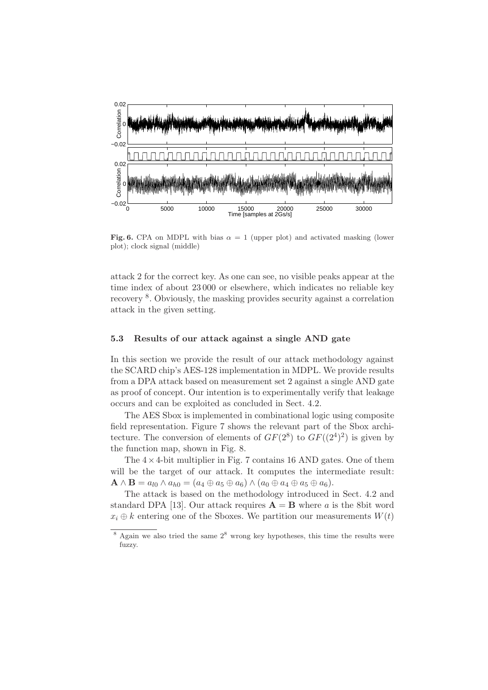

Fig. 6. CPA on MDPL with bias  $\alpha = 1$  (upper plot) and activated masking (lower plot); clock signal (middle)

attack 2 for the correct key. As one can see, no visible peaks appear at the time index of about 23 000 or elsewhere, which indicates no reliable key recovery <sup>8</sup>. Obviously, the masking provides security against a correlation attack in the given setting.

## 5.3 Results of our attack against a single AND gate

In this section we provide the result of our attack methodology against the SCARD chip's AES-128 implementation in MDPL. We provide results from a DPA attack based on measurement set 2 against a single AND gate as proof of concept. Our intention is to experimentally verify that leakage occurs and can be exploited as concluded in Sect. 4.2.

The AES Sbox is implemented in combinational logic using composite field representation. Figure 7 shows the relevant part of the Sbox architecture. The conversion of elements of  $GF(2^8)$  to  $GF((2^4)^2)$  is given by the function map, shown in Fig. 8.

The  $4 \times 4$ -bit multiplier in Fig. 7 contains 16 AND gates. One of them will be the target of our attack. It computes the intermediate result:  $\mathbf{A} \wedge \mathbf{B} = a_{l0} \wedge a_{h0} = (a_4 \oplus a_5 \oplus a_6) \wedge (a_0 \oplus a_4 \oplus a_5 \oplus a_6).$ 

The attack is based on the methodology introduced in Sect. 4.2 and standard DPA [13]. Our attack requires  $\mathbf{A} = \mathbf{B}$  where a is the 8bit word  $x_i \oplus k$  entering one of the Sboxes. We partition our measurements  $W(t)$ 

 $\overline{\text{8}$  Again we also tried the same  $2^8$  wrong key hypotheses, this time the results were fuzzy.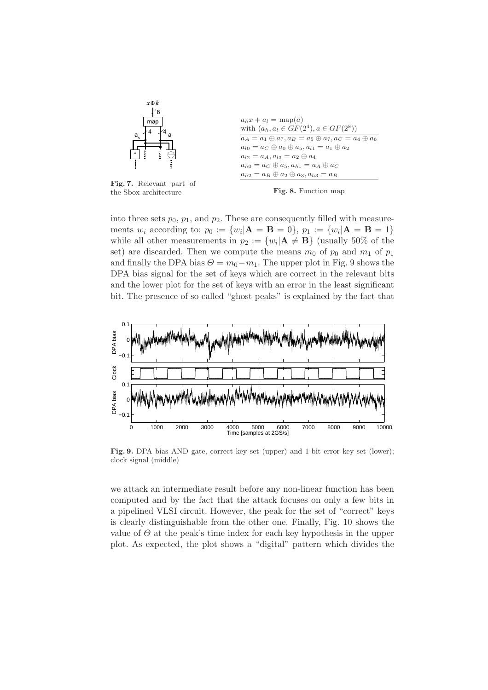

Fig. 7. Relevant part of the Sbox architecture



Fig. 8. Function map

into three sets  $p_0$ ,  $p_1$ , and  $p_2$ . These are consequently filled with measurements  $w_i$  according to:  $p_0 := \{w_i | \mathbf{A} = \mathbf{B} = 0\},\ p_1 := \{w_i | \mathbf{A} = \mathbf{B} = 1\}$ while all other measurements in  $p_2 := \{w_i | A \neq B\}$  (usually 50% of the set) are discarded. Then we compute the means  $m_0$  of  $p_0$  and  $m_1$  of  $p_1$ and finally the DPA bias  $\Theta = m_0 - m_1$ . The upper plot in Fig. 9 shows the DPA bias signal for the set of keys which are correct in the relevant bits and the lower plot for the set of keys with an error in the least significant bit. The presence of so called "ghost peaks" is explained by the fact that



Fig. 9. DPA bias AND gate, correct key set (upper) and 1-bit error key set (lower); clock signal (middle)

we attack an intermediate result before any non-linear function has been computed and by the fact that the attack focuses on only a few bits in a pipelined VLSI circuit. However, the peak for the set of "correct" keys is clearly distinguishable from the other one. Finally, Fig. 10 shows the value of  $\Theta$  at the peak's time index for each key hypothesis in the upper plot. As expected, the plot shows a "digital" pattern which divides the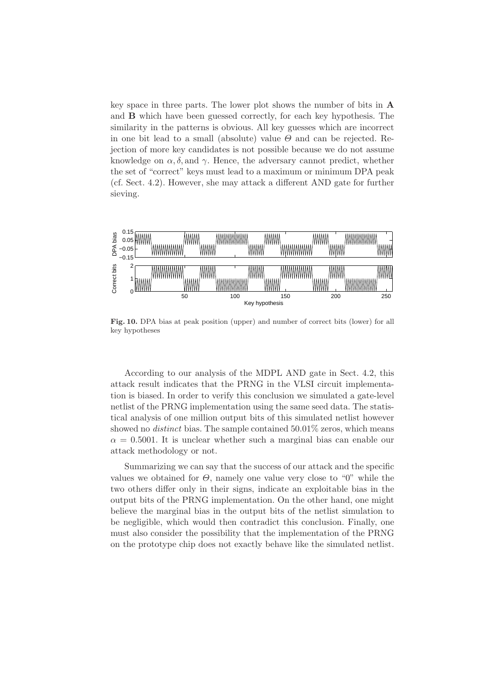key space in three parts. The lower plot shows the number of bits in A and B which have been guessed correctly, for each key hypothesis. The similarity in the patterns is obvious. All key guesses which are incorrect in one bit lead to a small (absolute) value  $\Theta$  and can be rejected. Rejection of more key candidates is not possible because we do not assume knowledge on  $\alpha$ ,  $\delta$ , and  $\gamma$ . Hence, the adversary cannot predict, whether the set of "correct" keys must lead to a maximum or minimum DPA peak (cf. Sect. 4.2). However, she may attack a different AND gate for further sieving.



Fig. 10. DPA bias at peak position (upper) and number of correct bits (lower) for all key hypotheses

According to our analysis of the MDPL AND gate in Sect. 4.2, this attack result indicates that the PRNG in the VLSI circuit implementation is biased. In order to verify this conclusion we simulated a gate-level netlist of the PRNG implementation using the same seed data. The statistical analysis of one million output bits of this simulated netlist however showed no *distinct* bias. The sample contained  $50.01\%$  zeros, which means  $\alpha = 0.5001$ . It is unclear whether such a marginal bias can enable our attack methodology or not.

Summarizing we can say that the success of our attack and the specific values we obtained for  $\Theta$ , namely one value very close to "0" while the two others differ only in their signs, indicate an exploitable bias in the output bits of the PRNG implementation. On the other hand, one might believe the marginal bias in the output bits of the netlist simulation to be negligible, which would then contradict this conclusion. Finally, one must also consider the possibility that the implementation of the PRNG on the prototype chip does not exactly behave like the simulated netlist.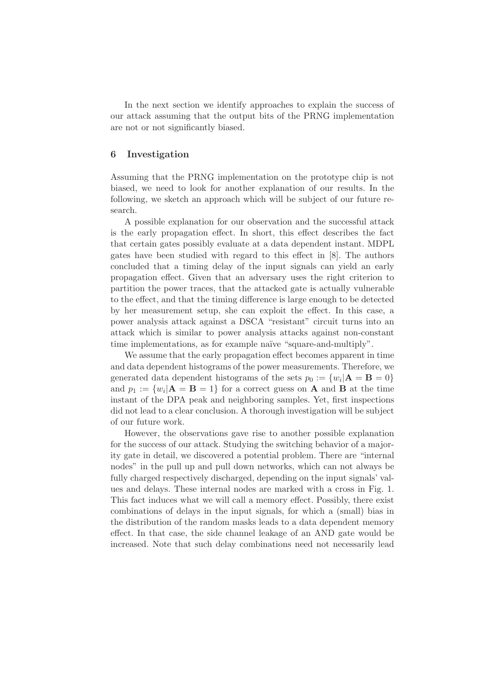In the next section we identify approaches to explain the success of our attack assuming that the output bits of the PRNG implementation are not or not significantly biased.

## 6 Investigation

Assuming that the PRNG implementation on the prototype chip is not biased, we need to look for another explanation of our results. In the following, we sketch an approach which will be subject of our future research.

A possible explanation for our observation and the successful attack is the early propagation effect. In short, this effect describes the fact that certain gates possibly evaluate at a data dependent instant. MDPL gates have been studied with regard to this effect in [8]. The authors concluded that a timing delay of the input signals can yield an early propagation effect. Given that an adversary uses the right criterion to partition the power traces, that the attacked gate is actually vulnerable to the effect, and that the timing difference is large enough to be detected by her measurement setup, she can exploit the effect. In this case, a power analysis attack against a DSCA "resistant" circuit turns into an attack which is similar to power analysis attacks against non-constant time implementations, as for example naïve "square-and-multiply".

We assume that the early propagation effect becomes apparent in time and data dependent histograms of the power measurements. Therefore, we generated data dependent histograms of the sets  $p_0 := \{w_i | \mathbf{A} = \mathbf{B} = 0\}$ and  $p_1 := \{w_i | \mathbf{A} = \mathbf{B} = 1\}$  for a correct guess on **A** and **B** at the time instant of the DPA peak and neighboring samples. Yet, first inspections did not lead to a clear conclusion. A thorough investigation will be subject of our future work.

However, the observations gave rise to another possible explanation for the success of our attack. Studying the switching behavior of a majority gate in detail, we discovered a potential problem. There are "internal nodes" in the pull up and pull down networks, which can not always be fully charged respectively discharged, depending on the input signals' values and delays. These internal nodes are marked with a cross in Fig. 1. This fact induces what we will call a memory effect. Possibly, there exist combinations of delays in the input signals, for which a (small) bias in the distribution of the random masks leads to a data dependent memory effect. In that case, the side channel leakage of an AND gate would be increased. Note that such delay combinations need not necessarily lead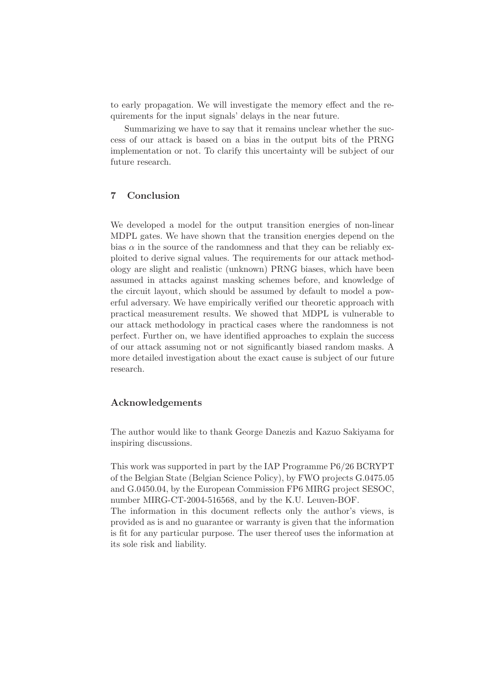to early propagation. We will investigate the memory effect and the requirements for the input signals' delays in the near future.

Summarizing we have to say that it remains unclear whether the success of our attack is based on a bias in the output bits of the PRNG implementation or not. To clarify this uncertainty will be subject of our future research.

## 7 Conclusion

We developed a model for the output transition energies of non-linear MDPL gates. We have shown that the transition energies depend on the bias  $\alpha$  in the source of the randomness and that they can be reliably exploited to derive signal values. The requirements for our attack methodology are slight and realistic (unknown) PRNG biases, which have been assumed in attacks against masking schemes before, and knowledge of the circuit layout, which should be assumed by default to model a powerful adversary. We have empirically verified our theoretic approach with practical measurement results. We showed that MDPL is vulnerable to our attack methodology in practical cases where the randomness is not perfect. Further on, we have identified approaches to explain the success of our attack assuming not or not significantly biased random masks. A more detailed investigation about the exact cause is subject of our future research.

## Acknowledgements

its sole risk and liability.

The author would like to thank George Danezis and Kazuo Sakiyama for inspiring discussions.

This work was supported in part by the IAP Programme P6/26 BCRYPT of the Belgian State (Belgian Science Policy), by FWO projects G.0475.05 and G.0450.04, by the European Commission FP6 MIRG project SESOC, number MIRG-CT-2004-516568, and by the K.U. Leuven-BOF. The information in this document reflects only the author's views, is provided as is and no guarantee or warranty is given that the information

is fit for any particular purpose. The user thereof uses the information at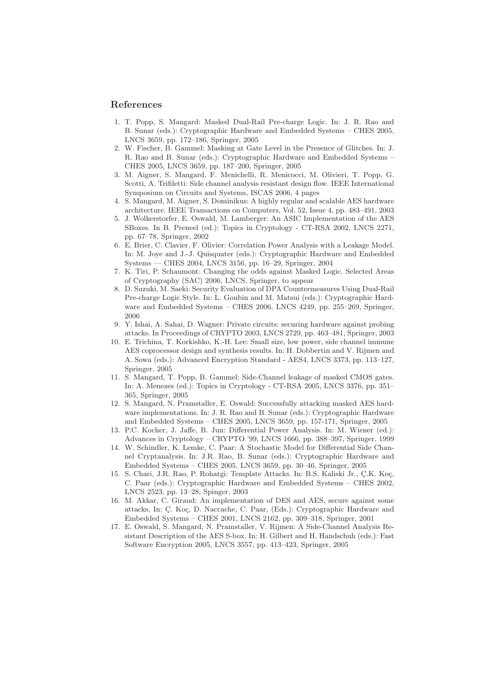#### References

- 1. T. Popp, S. Mangard: Masked Dual-Rail Pre-charge Logic. In: J. R. Rao and B. Sunar (eds.): Cryptographic Hardware and Embedded Systems – CHES 2005, LNCS 3659, pp. 172–186, Springer, 2005
- 2. W. Fischer, B. Gammel: Masking at Gate Level in the Presence of Glitches. In: J. R. Rao and B. Sunar (eds.): Cryptographic Hardware and Embedded Systems – CHES 2005, LNCS 3659, pp. 187–200, Springer, 2005
- 3. M. Aigner, S. Mangard, F. Menichelli, R. Menicocci, M. Olivieri, T. Popp, G. Scotti, A. Trifiletti: Side channel analysis resistant design flow. IEEE International Symposium on Circuits and Systems, ISCAS 2006, 4 pages
- 4. S. Mangard, M. Aigner, S. Dominikus: A highly regular and scalable AES hardware architecture. IEEE Transactions on Computers, Vol. 52, Issue 4, pp. 483–491, 2003
- 5. J. Wolkerstorfer, E. Oswald, M. Lamberger: An ASIC Implementation of the AES SBoxes. In B. Preneel (ed.): Topics in Cryptology - CT-RSA 2002, LNCS 2271, pp. 67–78, Springer, 2002
- 6. E. Brier, C. Clavier, F. Olivier: Correlation Power Analysis with a Leakage Model. In: M. Joye and J.-J. Quisquater (eds.): Cryptographic Hardware and Embedded Systems — CHES 2004, LNCS 3156, pp. 16–29, Springer, 2004
- 7. K. Tiri, P. Schaumont: Changing the odds against Masked Logic. Selected Areas of Cryptography (SAC) 2006, LNCS, Springer, to appear
- 8. D. Suzuki, M. Saeki: Security Evaluation of DPA Countermeasures Using Dual-Rail Pre-charge Logic Style. In: L. Goubin and M. Matsui (eds.): Cryptographic Hardware and Embedded Systems – CHES 2006, LNCS 4249, pp. 255–269, Springer, 2006
- 9. Y. Ishai, A. Sahai, D. Wagner: Private circuits: securing hardware against probing attacks. In Proceedings of CRYPTO 2003, LNCS 2729, pp. 463–481, Springer, 2003
- 10. E. Trichina, T. Korkishko, K.-H. Lee: Small size, low power, side channel immune AES coprocessor design and synthesis results. In: H. Dobbertin and V. Rijmen and A. Sowa (eds.): Advanced Encryption Standard - AES4, LNCS 3373, pp. 113–127, Springer, 2005
- 11. S. Mangard, T. Popp, B. Gammel: Side-Channel leakage of masked CMOS gates. In: A. Menezes (ed.): Topics in Cryptology - CT-RSA 2005, LNCS 3376, pp. 351– 365, Springer, 2005
- 12. S. Mangard, N. Pramstaller, E. Oswald: Successfully attacking masked AES hardware implementations. In: J. R. Rao and B. Sunar (eds.): Cryptographic Hardware and Embedded Systems – CHES 2005, LNCS 3659, pp. 157-171, Springer, 2005
- 13. P.C. Kocher, J. Jaffe, B. Jun: Differential Power Analysis. In: M. Wiener (ed.): Advances in Cryptology – CRYPTO '99, LNCS 1666, pp. 388–397, Springer, 1999
- 14. W. Schindler, K. Lemke, C. Paar: A Stochastic Model for Differential Side Channel Cryptanalysis. In: J.R. Rao, B. Sunar (eds.): Cryptographic Hardware and Embedded Systems – CHES 2005, LNCS 3659, pp. 30–46, Springer, 2005
- 15. S. Chari, J.R. Rao, P. Rohatgi: Template Attacks. In: B.S. Kaliski Jr., Ç.K. Koç, C. Paar (eds.): Cryptographic Hardware and Embedded Systems – CHES 2002, LNCS 2523, pp. 13–28, Spinger, 2003
- 16. M. Akkar, C. Giraud: An implementation of DES and AES, secure against some attacks, In: C¸. Ko¸c, D. Naccache, C. Paar, (Eds.): Cryptographic Hardware and Embedded Systems – CHES 2001, LNCS 2162, pp. 309–318, Springer, 2001
- 17. E. Oswald, S. Mangard, N. Pramstaller, V. Rijmen: A Side-Channel Analysis Resistant Description of the AES S-box. In: H. Gilbert and H. Handschuh (eds.): Fast Software Encryption 2005, LNCS 3557, pp. 413–423, Springer, 2005